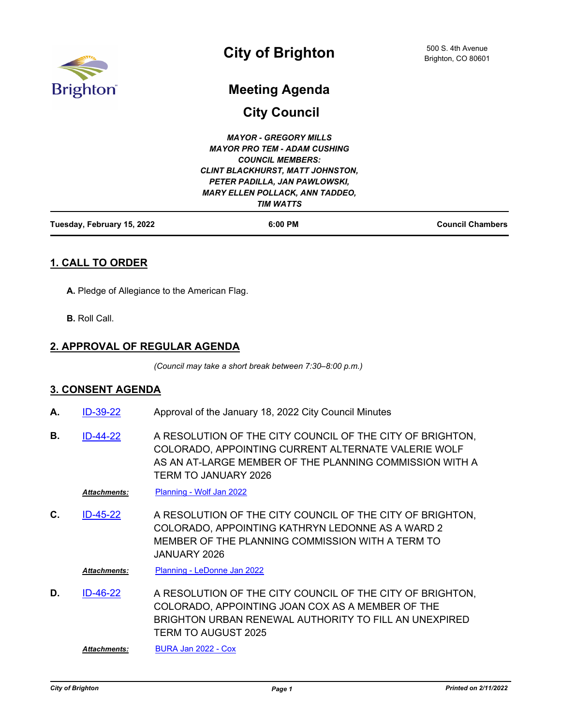

# **Meeting Agenda**

**City Council**

| Tuesday, February 15, 2022 | $6:00$ PM                               | <b>Council Chambers</b> |
|----------------------------|-----------------------------------------|-------------------------|
|                            | <b>TIM WATTS</b>                        |                         |
|                            | <b>MARY ELLEN POLLACK, ANN TADDEO,</b>  |                         |
|                            | PETER PADILLA, JAN PAWLOWSKI,           |                         |
|                            | <b>CLINT BLACKHURST, MATT JOHNSTON,</b> |                         |
|                            | <b>COUNCIL MEMBERS:</b>                 |                         |
|                            | <b>MAYOR PRO TEM - ADAM CUSHING</b>     |                         |
|                            | <b>MAYOR - GREGORY MILLS</b>            |                         |
|                            |                                         |                         |

# **1. CALL TO ORDER**

**A.** Pledge of Allegiance to the American Flag.

**B.** Roll Call.

# **2. APPROVAL OF REGULAR AGENDA**

*(Council may take a short break between 7:30–8:00 p.m.)*

### **3. CONSENT AGENDA**

- **A.** [ID-39-22](http://brightonco.legistar.com/gateway.aspx?m=l&id=/matter.aspx?key=4678) Approval of the January 18, 2022 City Council Minutes
- A RESOLUTION OF THE CITY COUNCIL OF THE CITY OF BRIGHTON, COLORADO, APPOINTING CURRENT ALTERNATE VALERIE WOLF AS AN AT-LARGE MEMBER OF THE PLANNING COMMISSION WITH A TERM TO JANUARY 2026 **B.** [ID-44-22](http://brightonco.legistar.com/gateway.aspx?m=l&id=/matter.aspx?key=4683)

*Attachments:* [Planning - Wolf Jan 2022](http://brightonco.legistar.com/gateway.aspx?M=F&ID=f11016bc-d9a2-4eb5-a130-dea498d3f646.doc)

A RESOLUTION OF THE CITY COUNCIL OF THE CITY OF BRIGHTON, COLORADO, APPOINTING KATHRYN LEDONNE AS A WARD 2 MEMBER OF THE PLANNING COMMISSION WITH A TERM TO JANUARY 2026 **C.** [ID-45-22](http://brightonco.legistar.com/gateway.aspx?m=l&id=/matter.aspx?key=4684)

*Attachments:* [Planning - LeDonne Jan 2022](http://brightonco.legistar.com/gateway.aspx?M=F&ID=60de754f-3a14-4436-9681-d46eef230ca7.doc)

A RESOLUTION OF THE CITY COUNCIL OF THE CITY OF BRIGHTON, COLORADO, APPOINTING JOAN COX AS A MEMBER OF THE BRIGHTON URBAN RENEWAL AUTHORITY TO FILL AN UNEXPIRED TERM TO AUGUST 2025 **D.** [ID-46-22](http://brightonco.legistar.com/gateway.aspx?m=l&id=/matter.aspx?key=4685)

*Attachments:* [BURA Jan 2022 - Cox](http://brightonco.legistar.com/gateway.aspx?M=F&ID=677c016c-8291-446e-843a-fdd7562e83de.doc)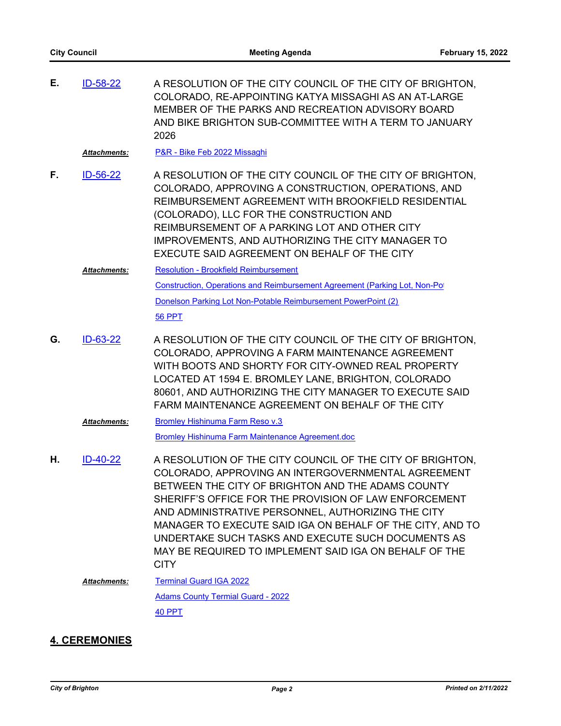| Е. | ID-58-22            | A RESOLUTION OF THE CITY COUNCIL OF THE CITY OF BRIGHTON,<br>COLORADO, RE-APPOINTING KATYA MISSAGHI AS AN AT-LARGE<br>MEMBER OF THE PARKS AND RECREATION ADVISORY BOARD<br>AND BIKE BRIGHTON SUB-COMMITTEE WITH A TERM TO JANUARY<br>2026                                                                                                                                 |
|----|---------------------|---------------------------------------------------------------------------------------------------------------------------------------------------------------------------------------------------------------------------------------------------------------------------------------------------------------------------------------------------------------------------|
|    | <b>Attachments:</b> | P&R - Bike Feb 2022 Missaghi                                                                                                                                                                                                                                                                                                                                              |
| F. | ID-56-22            | A RESOLUTION OF THE CITY COUNCIL OF THE CITY OF BRIGHTON,<br>COLORADO, APPROVING A CONSTRUCTION, OPERATIONS, AND<br>REIMBURSEMENT AGREEMENT WITH BROOKFIELD RESIDENTIAL<br>(COLORADO), LLC FOR THE CONSTRUCTION AND<br>REIMBURSEMENT OF A PARKING LOT AND OTHER CITY<br>IMPROVEMENTS, AND AUTHORIZING THE CITY MANAGER TO<br>EXECUTE SAID AGREEMENT ON BEHALF OF THE CITY |
|    | <b>Attachments:</b> | <b>Resolution - Brookfield Reimbursement</b>                                                                                                                                                                                                                                                                                                                              |
|    |                     | Construction, Operations and Reimbursement Agreement (Parking Lot, Non-Po)                                                                                                                                                                                                                                                                                                |
|    |                     | Donelson Parking Lot Non-Potable Reimbursement PowerPoint (2)                                                                                                                                                                                                                                                                                                             |
|    |                     | <b>56 PPT</b>                                                                                                                                                                                                                                                                                                                                                             |
| G. | ID-63-22            | A RESOLUTION OF THE CITY COUNCIL OF THE CITY OF BRIGHTON,<br>COLORADO, APPROVING A FARM MAINTENANCE AGREEMENT<br>WITH BOOTS AND SHORTY FOR CITY-OWNED REAL PROPERTY<br>LOCATED AT 1594 E. BROMLEY LANE, BRIGHTON, COLORADO<br>80601, AND AUTHORIZING THE CITY MANAGER TO EXECUTE SAID<br>FARM MAINTENANCE AGREEMENT ON BEHALF OF THE CITY                                 |
|    | Attachments:        | <b>Bromley Hishinuma Farm Reso v.3</b>                                                                                                                                                                                                                                                                                                                                    |
|    |                     | Bromley Hishinuma Farm Maintenance Agreement.doc                                                                                                                                                                                                                                                                                                                          |
| Η. | $ID-40-22$          | A RESOLUTION OF THE CITY COUNCIL OF THE CITY OF BRIGHTON,<br>COLORADO, APPROVING AN INTERGOVERNMENTAL AGREEMENT<br>BETWEEN THE CITY OF BRIGHTON AND THE ADAMS COUNTY                                                                                                                                                                                                      |

BETWEEN THE CITY OF BRIGHTON AND THE ADAMS COUNTY SHERIFF'S OFFICE FOR THE PROVISION OF LAW ENFORCEMENT AND ADMINISTRATIVE PERSONNEL, AUTHORIZING THE CITY MANAGER TO EXECUTE SAID IGA ON BEHALF OF THE CITY, AND TO UNDERTAKE SUCH TASKS AND EXECUTE SUCH DOCUMENTS AS MAY BE REQUIRED TO IMPLEMENT SAID IGA ON BEHALF OF THE **CITY** 

[Terminal Guard IGA 2022](http://brightonco.legistar.com/gateway.aspx?M=F&ID=618a9526-72cb-43f2-aefc-0e9c669e86c8.docx) *Attachments:*

> [Adams County Termial Guard - 2022](http://brightonco.legistar.com/gateway.aspx?M=F&ID=7a70956d-15ca-411f-83ab-6b0acd47f017.pptx) [40 PPT](http://brightonco.legistar.com/gateway.aspx?M=F&ID=7787d87e-340d-4d6a-9374-9f439fa34d92.pdf)

### **4. CEREMONIES**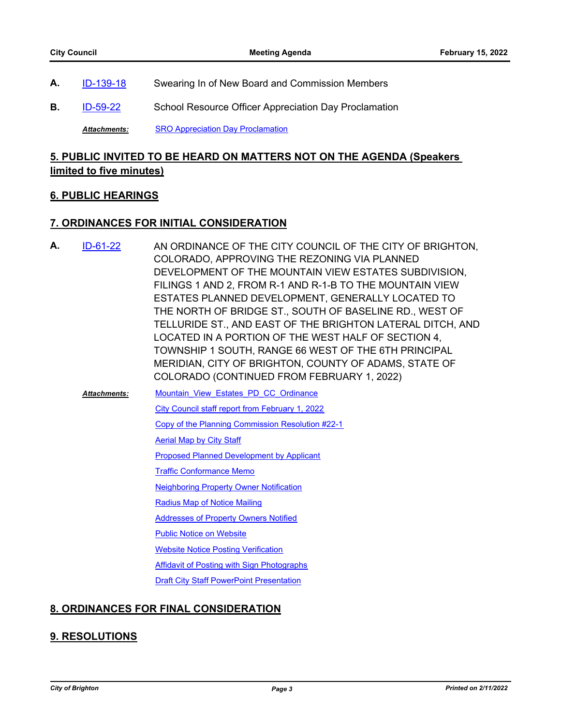- **A.** [ID-139-18](http://brightonco.legistar.com/gateway.aspx?m=l&id=/matter.aspx?key=2953) Swearing In of New Board and Commission Members
- **B.** [ID-59-22](http://brightonco.legistar.com/gateway.aspx?m=l&id=/matter.aspx?key=4698) School Resource Officer Appreciation Day Proclamation

*Attachments:* [SRO Appreciation Day Proclamation](http://brightonco.legistar.com/gateway.aspx?M=F&ID=eb9f85b6-2aed-45f4-ab96-757a5379eba3.pdf)

# **5. PUBLIC INVITED TO BE HEARD ON MATTERS NOT ON THE AGENDA (Speakers limited to five minutes)**

### **6. PUBLIC HEARINGS**

### **7. ORDINANCES FOR INITIAL CONSIDERATION**

AN ORDINANCE OF THE CITY COUNCIL OF THE CITY OF BRIGHTON, COLORADO, APPROVING THE REZONING VIA PLANNED DEVELOPMENT OF THE MOUNTAIN VIEW ESTATES SUBDIVISION, FILINGS 1 AND 2, FROM R-1 AND R-1-B TO THE MOUNTAIN VIEW ESTATES PLANNED DEVELOPMENT, GENERALLY LOCATED TO THE NORTH OF BRIDGE ST., SOUTH OF BASELINE RD., WEST OF TELLURIDE ST., AND EAST OF THE BRIGHTON LATERAL DITCH, AND LOCATED IN A PORTION OF THE WEST HALF OF SECTION 4, TOWNSHIP 1 SOUTH, RANGE 66 WEST OF THE 6TH PRINCIPAL MERIDIAN, CITY OF BRIGHTON, COUNTY OF ADAMS, STATE OF COLORADO (CONTINUED FROM FEBRUARY 1, 2022) **A.** [ID-61-22](http://brightonco.legistar.com/gateway.aspx?m=l&id=/matter.aspx?key=4700)

[Mountain\\_View\\_Estates\\_PD\\_CC\\_Ordinance](http://brightonco.legistar.com/gateway.aspx?M=F&ID=4f9a3e8b-98e4-4a05-9e43-534b49cb8f18.docx) [City Council staff report from February 1, 2022](http://brightonco.legistar.com/gateway.aspx?M=F&ID=690fdeea-a7f9-44ea-a3fd-0e336008cbe8.pdf) *Attachments:*

[Copy of the Planning Commission Resolution #22-1](http://brightonco.legistar.com/gateway.aspx?M=F&ID=4ebc424c-2ffb-4f99-ad77-de44879d87c4.pdf)

[Aerial Map by City Staff](http://brightonco.legistar.com/gateway.aspx?M=F&ID=5234e072-e194-4bcb-9c34-1b28356899e1.pdf)

[Proposed Planned Development by Applicant](http://brightonco.legistar.com/gateway.aspx?M=F&ID=a5da6126-858e-4fa7-9b6b-ae462248cf26.pdf)

[Traffic Conformance Memo](http://brightonco.legistar.com/gateway.aspx?M=F&ID=41ba31e0-a37a-4694-8c90-16fa84769e4c.pdf)

[Neighboring Property Owner Notification](http://brightonco.legistar.com/gateway.aspx?M=F&ID=717d8090-c8ce-4a8a-9044-dd57e294cbde.pdf)

[Radius Map of Notice Mailing](http://brightonco.legistar.com/gateway.aspx?M=F&ID=4f775082-6eb3-4054-aeee-18f81d755b68.pdf)

[Addresses of Property Owners Notified](http://brightonco.legistar.com/gateway.aspx?M=F&ID=3c980d9a-9094-4b45-8107-92a09cd4dc2c.pdf)

[Public Notice on Website](http://brightonco.legistar.com/gateway.aspx?M=F&ID=cccb8ee0-bd00-4c97-a2d7-5a502d0f682d.pdf)

[Website Notice Posting Verification](http://brightonco.legistar.com/gateway.aspx?M=F&ID=5a9f830b-af7c-4506-b0e1-fd5615bba44c.pdf)

**[Affidavit of Posting with Sign Photographs](http://brightonco.legistar.com/gateway.aspx?M=F&ID=9835ad10-952e-45e2-96f1-2cd27ac59033.pdf)** 

[Draft City Staff PowerPoint Presentation](http://brightonco.legistar.com/gateway.aspx?M=F&ID=4f2b448e-429c-474d-9202-6e749283530c.pdf)

# **8. ORDINANCES FOR FINAL CONSIDERATION**

# **9. RESOLUTIONS**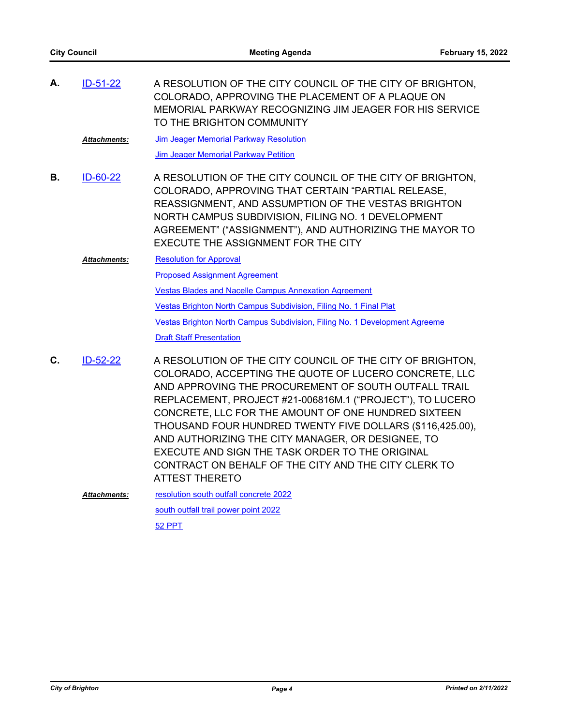| А. | $ID-51-22$           | A RESOLUTION OF THE CITY COUNCIL OF THE CITY OF BRIGHTON,<br>COLORADO, APPROVING THE PLACEMENT OF A PLAQUE ON<br>MEMORIAL PARKWAY RECOGNIZING JIM JEAGER FOR HIS SERVICE<br>TO THE BRIGHTON COMMUNITY                                                                                                                                                                                                                                                                                                                                                |
|----|----------------------|------------------------------------------------------------------------------------------------------------------------------------------------------------------------------------------------------------------------------------------------------------------------------------------------------------------------------------------------------------------------------------------------------------------------------------------------------------------------------------------------------------------------------------------------------|
|    | Attachments:         | Jim Jeager Memorial Parkway Resolution                                                                                                                                                                                                                                                                                                                                                                                                                                                                                                               |
|    |                      | <b>Jim Jeager Memorial Parkway Petition</b>                                                                                                                                                                                                                                                                                                                                                                                                                                                                                                          |
| В. | ID-60-22             | A RESOLUTION OF THE CITY COUNCIL OF THE CITY OF BRIGHTON,<br>COLORADO, APPROVING THAT CERTAIN "PARTIAL RELEASE,<br>REASSIGNMENT, AND ASSUMPTION OF THE VESTAS BRIGHTON<br>NORTH CAMPUS SUBDIVISION, FILING NO. 1 DEVELOPMENT<br>AGREEMENT" ("ASSIGNMENT"), AND AUTHORIZING THE MAYOR TO<br><b>EXECUTE THE ASSIGNMENT FOR THE CITY</b>                                                                                                                                                                                                                |
|    | <b>Attachments:</b>  | <b>Resolution for Approval</b>                                                                                                                                                                                                                                                                                                                                                                                                                                                                                                                       |
|    |                      | <b>Proposed Assignment Agreement</b>                                                                                                                                                                                                                                                                                                                                                                                                                                                                                                                 |
|    |                      | <b>Vestas Blades and Nacelle Campus Annexation Agreement</b>                                                                                                                                                                                                                                                                                                                                                                                                                                                                                         |
|    |                      | Vestas Brighton North Campus Subdivision, Filing No. 1 Final Plat                                                                                                                                                                                                                                                                                                                                                                                                                                                                                    |
|    |                      | Vestas Brighton North Campus Subdivision, Filing No. 1 Development Agreeme                                                                                                                                                                                                                                                                                                                                                                                                                                                                           |
|    |                      | <b>Draft Staff Presentation</b>                                                                                                                                                                                                                                                                                                                                                                                                                                                                                                                      |
| C. | ID-52-22             | A RESOLUTION OF THE CITY COUNCIL OF THE CITY OF BRIGHTON,<br>COLORADO, ACCEPTING THE QUOTE OF LUCERO CONCRETE, LLC<br>AND APPROVING THE PROCUREMENT OF SOUTH OUTFALL TRAIL<br>REPLACEMENT, PROJECT #21-006816M.1 ("PROJECT"), TO LUCERO<br>CONCRETE, LLC FOR THE AMOUNT OF ONE HUNDRED SIXTEEN<br>THOUSAND FOUR HUNDRED TWENTY FIVE DOLLARS (\$116,425.00),<br>AND AUTHORIZING THE CITY MANAGER, OR DESIGNEE, TO<br>EXECUTE AND SIGN THE TASK ORDER TO THE ORIGINAL<br>CONTRACT ON BEHALF OF THE CITY AND THE CITY CLERK TO<br><b>ATTEST THERETO</b> |
|    | <u> Attachments:</u> | resolution south outfall concrete 2022                                                                                                                                                                                                                                                                                                                                                                                                                                                                                                               |
|    |                      | south outfall trail power point 2022                                                                                                                                                                                                                                                                                                                                                                                                                                                                                                                 |
|    |                      | 52 PPT                                                                                                                                                                                                                                                                                                                                                                                                                                                                                                                                               |